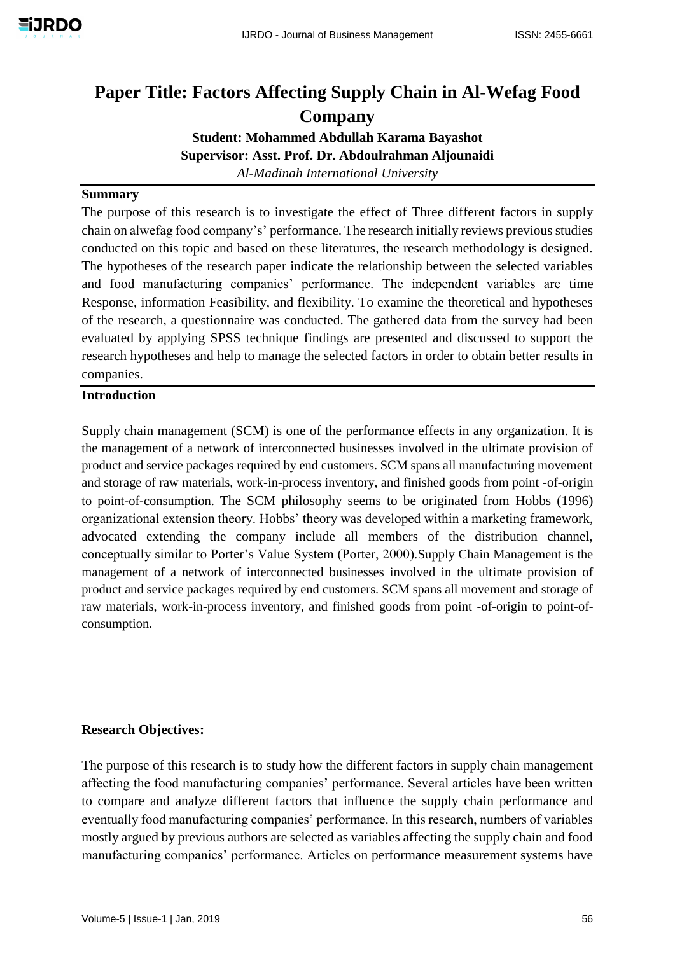# **Paper Title: Factors Affecting Supply Chain in Al-Wefag Food Company**

**Student: Mohammed Abdullah Karama Bayashot Supervisor: Asst. Prof. Dr. Abdoulrahman Aljounaidi** *Al-Madinah International University* 

## **Summary**

The purpose of this research is to investigate the effect of Three different factors in supply chain on alwefag food company's' performance. The research initially reviews previous studies conducted on this topic and based on these literatures, the research methodology is designed. The hypotheses of the research paper indicate the relationship between the selected variables and food manufacturing companies' performance. The independent variables are time Response, information Feasibility, and flexibility. To examine the theoretical and hypotheses of the research, a questionnaire was conducted. The gathered data from the survey had been evaluated by applying SPSS technique findings are presented and discussed to support the research hypotheses and help to manage the selected factors in order to obtain better results in companies.

## **Introduction**

Supply chain management (SCM) is one of the performance effects in any organization. It is the management of a network of interconnected businesses involved in the ultimate provision of product and service packages required by end customers. SCM spans all manufacturing movement and storage of raw materials, work-in-process inventory, and finished goods from point -of-origin to point-of-consumption. The SCM philosophy seems to be originated from Hobbs (1996) organizational extension theory. Hobbs' theory was developed within a marketing framework, advocated extending the company include all members of the distribution channel, conceptually similar to Porter's Value System (Porter, 2000).Supply Chain Management is the management of a network of interconnected businesses involved in the ultimate provision of product and service packages required by end customers. SCM spans all movement and storage of raw materials, work-in-process inventory, and finished goods from point -of-origin to point-ofconsumption.

## **Research Objectives:**

The purpose of this research is to study how the different factors in supply chain management affecting the food manufacturing companies' performance. Several articles have been written to compare and analyze different factors that influence the supply chain performance and eventually food manufacturing companies' performance. In this research, numbers of variables mostly argued by previous authors are selected as variables affecting the supply chain and food manufacturing companies' performance. Articles on performance measurement systems have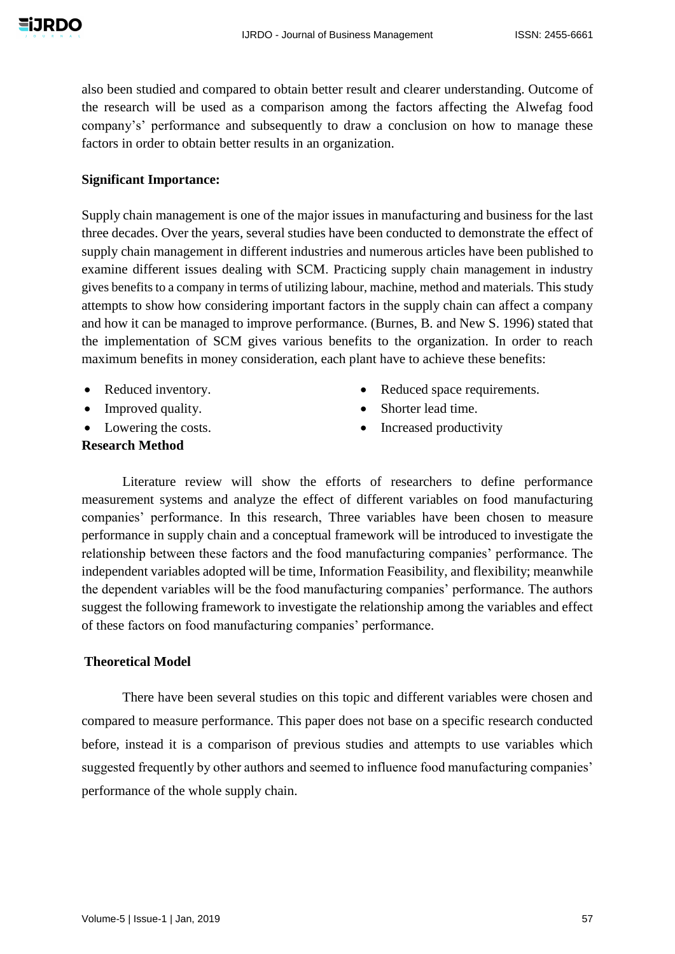**EIJRDO** 

also been studied and compared to obtain better result and clearer understanding. Outcome of the research will be used as a comparison among the factors affecting the Alwefag food company's' performance and subsequently to draw a conclusion on how to manage these factors in order to obtain better results in an organization.

## **Significant Importance:**

Supply chain management is one of the major issues in manufacturing and business for the last three decades. Over the years, several studies have been conducted to demonstrate the effect of supply chain management in different industries and numerous articles have been published to examine different issues dealing with SCM. Practicing supply chain management in industry gives benefits to a company in terms of utilizing labour, machine, method and materials. This study attempts to show how considering important factors in the supply chain can affect a company and how it can be managed to improve performance. (Burnes, B. and New S. 1996) stated that the implementation of SCM gives various benefits to the organization. In order to reach maximum benefits in money consideration, each plant have to achieve these benefits:

- Reduced inventory.
- Improved quality.
- Lowering the costs.
- Reduced space requirements.
- Shorter lead time.
- Increased productivity

# **Research Method**

Literature review will show the efforts of researchers to define performance measurement systems and analyze the effect of different variables on food manufacturing companies' performance. In this research, Three variables have been chosen to measure performance in supply chain and a conceptual framework will be introduced to investigate the relationship between these factors and the food manufacturing companies' performance. The independent variables adopted will be time, Information Feasibility, and flexibility; meanwhile the dependent variables will be the food manufacturing companies' performance. The authors suggest the following framework to investigate the relationship among the variables and effect of these factors on food manufacturing companies' performance.

## **Theoretical Model**

There have been several studies on this topic and different variables were chosen and compared to measure performance. This paper does not base on a specific research conducted before, instead it is a comparison of previous studies and attempts to use variables which suggested frequently by other authors and seemed to influence food manufacturing companies' performance of the whole supply chain.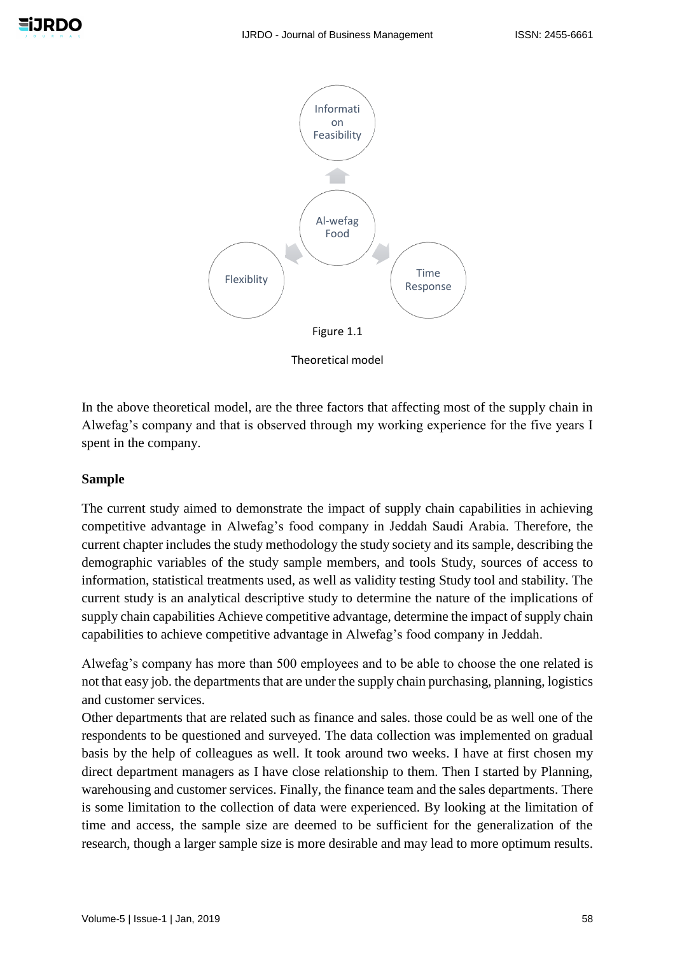

Theoretical model

In the above theoretical model, are the three factors that affecting most of the supply chain in Alwefag's company and that is observed through my working experience for the five years I spent in the company.

# **Sample**

The current study aimed to demonstrate the impact of supply chain capabilities in achieving competitive advantage in Alwefag's food company in Jeddah Saudi Arabia. Therefore, the current chapter includes the study methodology the study society and its sample, describing the demographic variables of the study sample members, and tools Study, sources of access to information, statistical treatments used, as well as validity testing Study tool and stability. The current study is an analytical descriptive study to determine the nature of the implications of supply chain capabilities Achieve competitive advantage, determine the impact of supply chain capabilities to achieve competitive advantage in Alwefag's food company in Jeddah.

Alwefag's company has more than 500 employees and to be able to choose the one related is not that easy job. the departments that are under the supply chain purchasing, planning, logistics and customer services.

Other departments that are related such as finance and sales. those could be as well one of the respondents to be questioned and surveyed. The data collection was implemented on gradual basis by the help of colleagues as well. It took around two weeks. I have at first chosen my direct department managers as I have close relationship to them. Then I started by Planning, warehousing and customer services. Finally, the finance team and the sales departments. There is some limitation to the collection of data were experienced. By looking at the limitation of time and access, the sample size are deemed to be sufficient for the generalization of the research, though a larger sample size is more desirable and may lead to more optimum results.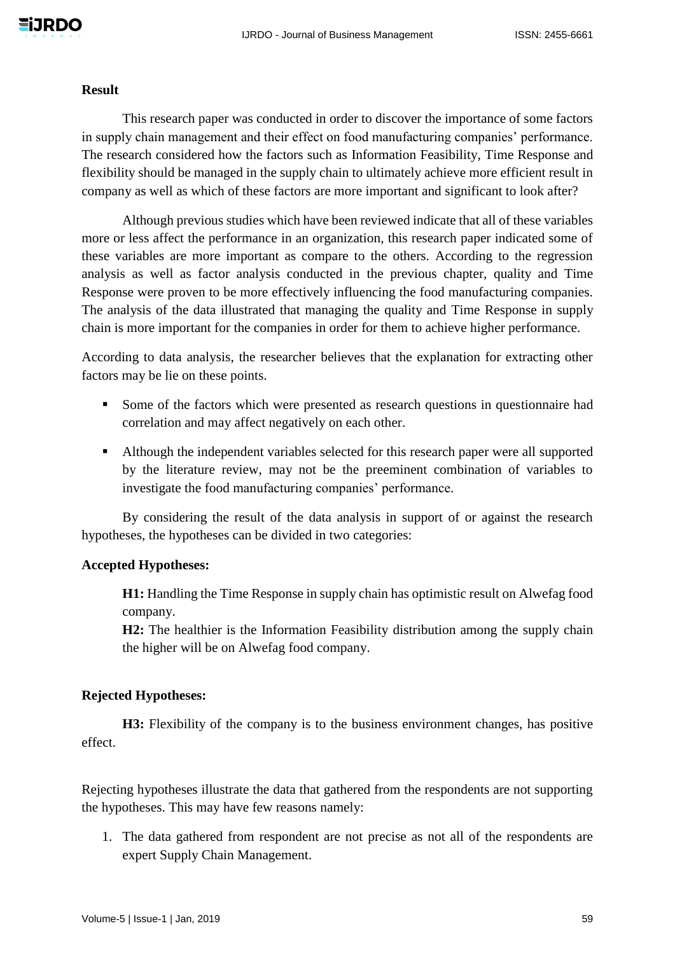#### **Result**

This research paper was conducted in order to discover the importance of some factors in supply chain management and their effect on food manufacturing companies' performance. The research considered how the factors such as Information Feasibility, Time Response and flexibility should be managed in the supply chain to ultimately achieve more efficient result in company as well as which of these factors are more important and significant to look after?

Although previous studies which have been reviewed indicate that all of these variables more or less affect the performance in an organization, this research paper indicated some of these variables are more important as compare to the others. According to the regression analysis as well as factor analysis conducted in the previous chapter, quality and Time Response were proven to be more effectively influencing the food manufacturing companies. The analysis of the data illustrated that managing the quality and Time Response in supply chain is more important for the companies in order for them to achieve higher performance.

According to data analysis, the researcher believes that the explanation for extracting other factors may be lie on these points.

- Some of the factors which were presented as research questions in questionnaire had correlation and may affect negatively on each other.
- Although the independent variables selected for this research paper were all supported by the literature review, may not be the preeminent combination of variables to investigate the food manufacturing companies' performance.

By considering the result of the data analysis in support of or against the research hypotheses, the hypotheses can be divided in two categories:

## **Accepted Hypotheses:**

**H1:** Handling the Time Response in supply chain has optimistic result on Alwefag food company.

**H2:** The healthier is the Information Feasibility distribution among the supply chain the higher will be on Alwefag food company.

## **Rejected Hypotheses:**

**H3:** Flexibility of the company is to the business environment changes, has positive effect.

Rejecting hypotheses illustrate the data that gathered from the respondents are not supporting the hypotheses. This may have few reasons namely:

1. The data gathered from respondent are not precise as not all of the respondents are expert Supply Chain Management.